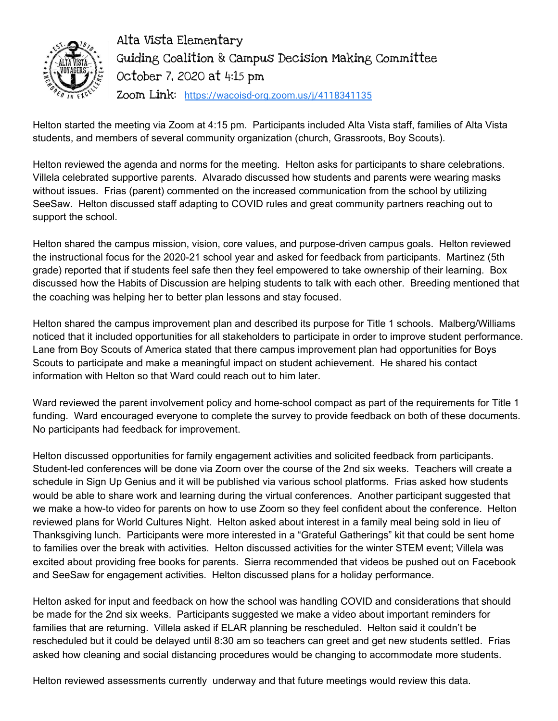

Alta Vista Elementary Guiding Coalition & Campus Decision Making Committee October 7, 2020 at 4:15 pm Zoom Link: <https://wacoisd-org.zoom.us/j/4118341135>

Helton started the meeting via Zoom at 4:15 pm. Participants included Alta Vista staff, families of Alta Vista students, and members of several community organization (church, Grassroots, Boy Scouts).

Helton reviewed the agenda and norms for the meeting. Helton asks for participants to share celebrations. Villela celebrated supportive parents. Alvarado discussed how students and parents were wearing masks without issues. Frias (parent) commented on the increased communication from the school by utilizing SeeSaw. Helton discussed staff adapting to COVID rules and great community partners reaching out to support the school.

Helton shared the campus mission, vision, core values, and purpose-driven campus goals. Helton reviewed the instructional focus for the 2020-21 school year and asked for feedback from participants. Martinez (5th grade) reported that if students feel safe then they feel empowered to take ownership of their learning. Box discussed how the Habits of Discussion are helping students to talk with each other. Breeding mentioned that the coaching was helping her to better plan lessons and stay focused.

Helton shared the campus improvement plan and described its purpose for Title 1 schools. Malberg/Williams noticed that it included opportunities for all stakeholders to participate in order to improve student performance. Lane from Boy Scouts of America stated that there campus improvement plan had opportunities for Boys Scouts to participate and make a meaningful impact on student achievement. He shared his contact information with Helton so that Ward could reach out to him later.

Ward reviewed the parent involvement policy and home-school compact as part of the requirements for Title 1 funding. Ward encouraged everyone to complete the survey to provide feedback on both of these documents. No participants had feedback for improvement.

Helton discussed opportunities for family engagement activities and solicited feedback from participants. Student-led conferences will be done via Zoom over the course of the 2nd six weeks. Teachers will create a schedule in Sign Up Genius and it will be published via various school platforms. Frias asked how students would be able to share work and learning during the virtual conferences. Another participant suggested that we make a how-to video for parents on how to use Zoom so they feel confident about the conference. Helton reviewed plans for World Cultures Night. Helton asked about interest in a family meal being sold in lieu of Thanksgiving lunch. Participants were more interested in a "Grateful Gatherings" kit that could be sent home to families over the break with activities. Helton discussed activities for the winter STEM event; Villela was excited about providing free books for parents. Sierra recommended that videos be pushed out on Facebook and SeeSaw for engagement activities. Helton discussed plans for a holiday performance.

Helton asked for input and feedback on how the school was handling COVID and considerations that should be made for the 2nd six weeks. Participants suggested we make a video about important reminders for families that are returning. Villela asked if ELAR planning be rescheduled. Helton said it couldn't be rescheduled but it could be delayed until 8:30 am so teachers can greet and get new students settled. Frias asked how cleaning and social distancing procedures would be changing to accommodate more students.

Helton reviewed assessments currently underway and that future meetings would review this data.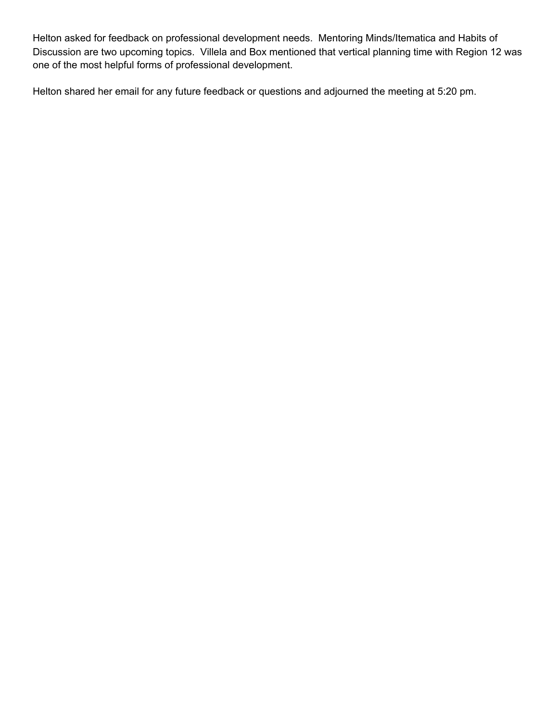Helton asked for feedback on professional development needs. Mentoring Minds/Itematica and Habits of Discussion are two upcoming topics. Villela and Box mentioned that vertical planning time with Region 12 was one of the most helpful forms of professional development.

Helton shared her email for any future feedback or questions and adjourned the meeting at 5:20 pm.